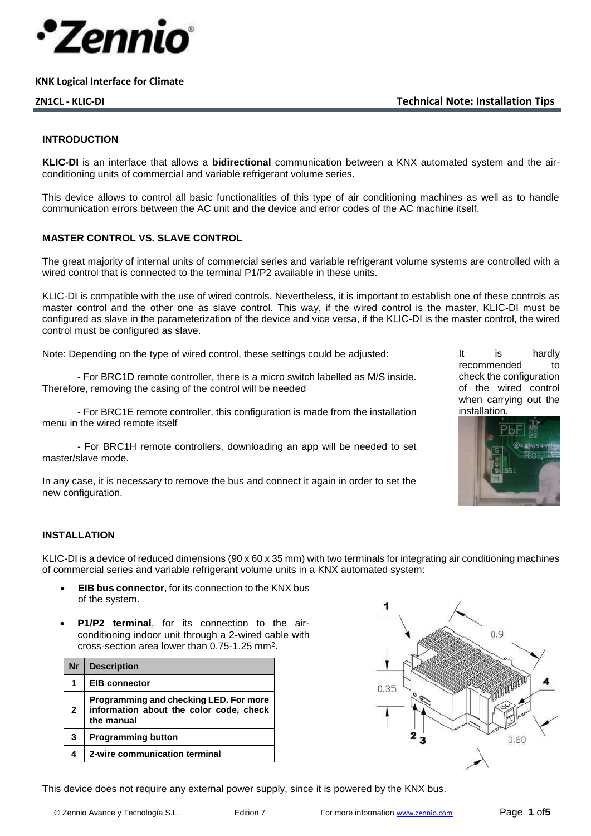

**ZN1CL - KLIC-DI Technical Note: Installation Tips**

#### **INTRODUCTION**

**KLIC-DI** is an interface that allows a **bidirectional** communication between a KNX automated system and the airconditioning units of commercial and variable refrigerant volume series.

This device allows to control all basic functionalities of this type of air conditioning machines as well as to handle communication errors between the AC unit and the device and error codes of the AC machine itself.

#### **MASTER CONTROL VS. SLAVE CONTROL**

The great majority of internal units of commercial series and variable refrigerant volume systems are controlled with a wired control that is connected to the terminal P1/P2 available in these units.

KLIC-DI is compatible with the use of wired controls. Nevertheless, it is important to establish one of these controls as master control and the other one as slave control. This way, if the wired control is the master, KLIC-DI must be configured as slave in the parameterization of the device and vice versa, if the KLIC-DI is the master control, the wired control must be configured as slave.

Note: Depending on the type of wired control, these settings could be adjusted:

- For BRC1D remote controller, there is a micro switch labelled as M/S inside. Therefore, removing the casing of the control will be needed

- For BRC1E remote controller, this configuration is made from the installation menu in the wired remote itself

- For BRC1H remote controllers, downloading an app will be needed to set master/slave mode.

In any case, it is necessary to remove the bus and connect it again in order to set the new configuration.

It is hardly recommended to check the configuration of the wired control when carrying out the installation.



#### **INSTALLATION**

KLIC-DI is a device of reduced dimensions (90 x 60 x 35 mm) with two terminals for integrating air conditioning machines of commercial series and variable refrigerant volume units in a KNX automated system:

- **EIB bus connector**, for its connection to the KNX bus of the system.
- **P1/P2 terminal**, for its connection to the airconditioning indoor unit through a 2-wired cable with cross-section area lower than  $0.75$ -1.25 mm<sup>2</sup>.

| Nr           | <b>Description</b>                                                                              |
|--------------|-------------------------------------------------------------------------------------------------|
|              | <b>EIB connector</b>                                                                            |
| $\mathbf{2}$ | Programming and checking LED. For more<br>information about the color code, check<br>the manual |
| 3            | <b>Programming button</b>                                                                       |
|              | 2-wire communication terminal                                                                   |



This device does not require any external power supply, since it is powered by the KNX bus.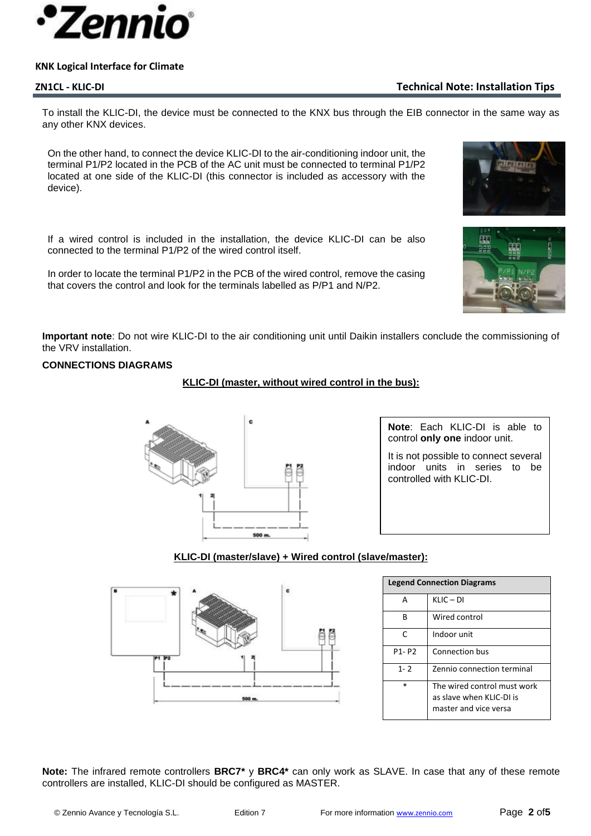

# **ZN1CL - KLIC-DI Technical Note: Installation Tips**

To install the KLIC-DI, the device must be connected to the KNX bus through the EIB connector in the same way as any other KNX devices.

On the other hand, to connect the device KLIC-DI to the air-conditioning indoor unit, the terminal P1/P2 located in the PCB of the AC unit must be connected to terminal P1/P2 located at one side of the KLIC-DI (this connector is included as accessory with the device).

If a wired control is included in the installation, the device KLIC-DI can be also connected to the terminal P1/P2 of the wired control itself.

In order to locate the terminal P1/P2 in the PCB of the wired control, remove the casing that covers the control and look for the terminals labelled as P/P1 and N/P2.





**Important note**: Do not wire KLIC-DI to the air conditioning unit until Daikin installers conclude the commissioning of the VRV installation.

## **CONNECTIONS DIAGRAMS**

## **KLIC-DI (master, without wired control in the bus):**



**Note**: Each KLIC-DI is able to control **only one** indoor unit.

It is not possible to connect several indoor units in series to be controlled with KLIC-DI.

## **KLIC-DI (master/slave) + Wired control (slave/master):**



| <b>Legend Connection Diagrams</b> |                                                                                 |  |
|-----------------------------------|---------------------------------------------------------------------------------|--|
| А                                 | $KLIC - DI$                                                                     |  |
| R                                 | Wired control                                                                   |  |
| r                                 | Indoor unit                                                                     |  |
| P1-P2                             | Connection bus                                                                  |  |
| $1 - 2$                           | Zennio connection terminal                                                      |  |
| $\ast$                            | The wired control must work<br>as slave when KLIC-DLis<br>master and vice versa |  |

**Note:** The infrared remote controllers **BRC7\*** y **BRC4\*** can only work as SLAVE. In case that any of these remote controllers are installed, KLIC-DI should be configured as MASTER.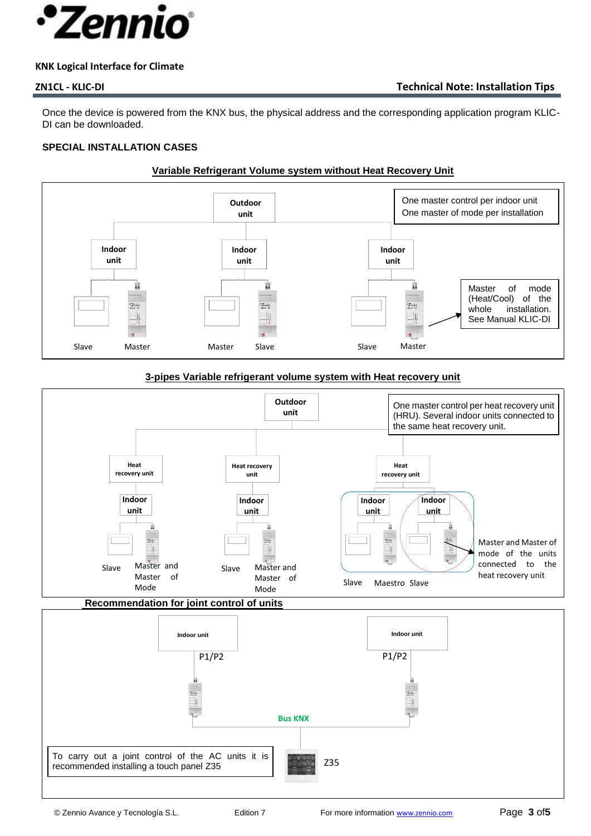

Once the device is powered from the KNX bus, the physical address and the corresponding application program KLIC-DI can be downloaded.

# **SPECIAL INSTALLATION CASES**

# **Variable Refrigerant Volume system without Heat Recovery Unit**



## **3-pipes Variable refrigerant volume system with Heat recovery unit**

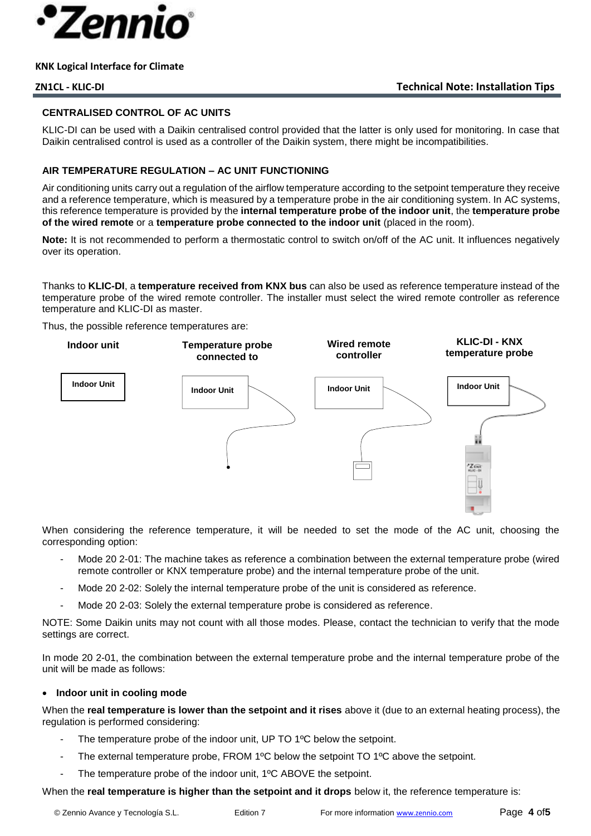

#### **CENTRALISED CONTROL OF AC UNITS**

KLIC-DI can be used with a Daikin centralised control provided that the latter is only used for monitoring. In case that Daikin centralised control is used as a controller of the Daikin system, there might be incompatibilities.

## **AIR TEMPERATURE REGULATION – AC UNIT FUNCTIONING**

Air conditioning units carry out a regulation of the airflow temperature according to the setpoint temperature they receive and a reference temperature, which is measured by a temperature probe in the air conditioning system. In AC systems, this reference temperature is provided by the **internal temperature probe of the indoor unit**, the **temperature probe of the wired remote** or a **temperature probe connected to the indoor unit** (placed in the room).

**Note:** It is not recommended to perform a thermostatic control to switch on/off of the AC unit. It influences negatively over its operation.

Thanks to **KLIC-DI**, a **temperature received from KNX bus** can also be used as reference temperature instead of the temperature probe of the wired remote controller. The installer must select the wired remote controller as reference temperature and KLIC-DI as master.

Thus, the possible reference temperatures are:



When considering the reference temperature, it will be needed to set the mode of the AC unit, choosing the corresponding option:

- Mode 20 2-01: The machine takes as reference a combination between the external temperature probe (wired remote controller or KNX temperature probe) and the internal temperature probe of the unit.
- Mode 20 2-02: Solely the internal temperature probe of the unit is considered as reference.
- Mode 20 2-03: Solely the external temperature probe is considered as reference.

NOTE: Some Daikin units may not count with all those modes. Please, contact the technician to verify that the mode settings are correct.

In mode 20 2-01, the combination between the external temperature probe and the internal temperature probe of the unit will be made as follows:

#### • **Indoor unit in cooling mode**

When the **real temperature is lower than the setpoint and it rises** above it (due to an external heating process), the regulation is performed considering:

- The temperature probe of the indoor unit, UP TO 1<sup>o</sup>C below the setpoint.
- The external temperature probe, FROM 1<sup>o</sup>C below the setpoint TO 1<sup>o</sup>C above the setpoint.
- The temperature probe of the indoor unit, 1°C ABOVE the setpoint.

When the **real temperature is higher than the setpoint and it drops** below it, the reference temperature is: